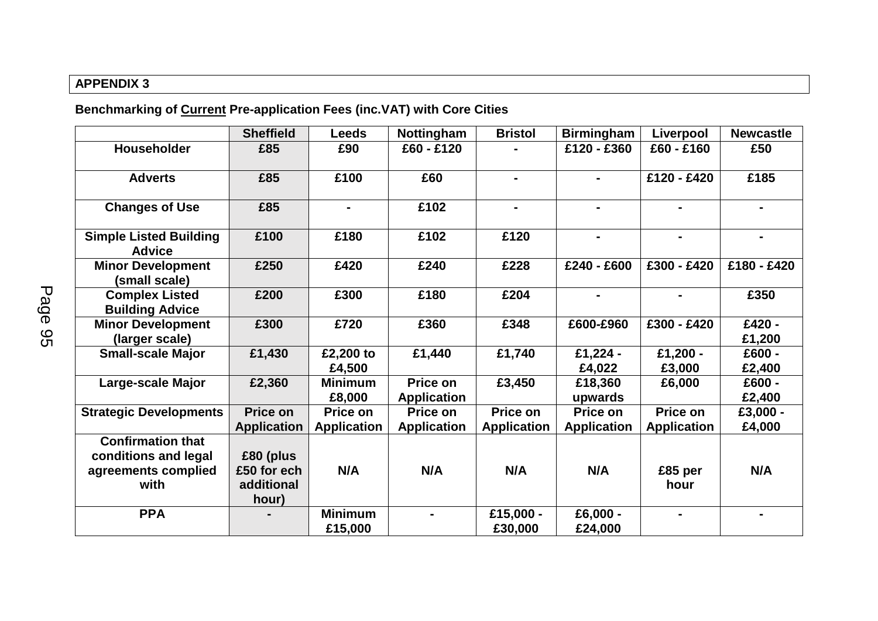## **APPENDIX 3**

**Benchmarking of Current Pre-application Fees (inc.VAT) with Core Cities**

|                                                                                 | <b>Sheffield</b>                                | <b>Leeds</b>                   | Nottingham                     | <b>Bristol</b>                 | <b>Birmingham</b>              | Liverpool                      | <b>Newcastle</b>   |
|---------------------------------------------------------------------------------|-------------------------------------------------|--------------------------------|--------------------------------|--------------------------------|--------------------------------|--------------------------------|--------------------|
| Householder                                                                     | £85                                             | £90                            | £60 - £120                     |                                | £120 - £360                    | £60 - £160                     | £50                |
| <b>Adverts</b>                                                                  | £85                                             | £100                           | £60                            | $\blacksquare$                 |                                | £120 - £420                    | £185               |
| <b>Changes of Use</b>                                                           | £85                                             | $\blacksquare$                 | £102                           | Ξ.                             |                                |                                | $\blacksquare$     |
| <b>Simple Listed Building</b><br><b>Advice</b>                                  | £100                                            | £180                           | £102                           | £120                           | $\blacksquare$                 | $\blacksquare$                 | $\blacksquare$     |
| <b>Minor Development</b><br>(small scale)                                       | £250                                            | £420                           | £240                           | £228                           | £240 - £600                    | £300 - £420                    | £180 - £420        |
| <b>Complex Listed</b><br><b>Building Advice</b>                                 | £200                                            | £300                           | £180                           | £204                           |                                |                                | £350               |
| <b>Minor Development</b><br>(larger scale)                                      | £300                                            | £720                           | £360                           | £348                           | £600-£960                      | £300 - £420                    | £420 -<br>£1,200   |
| <b>Small-scale Major</b>                                                        | £1,430                                          | £2,200 to<br>£4,500            | £1,440                         | £1,740                         | £1,224 -<br>£4,022             | £1,200 -<br>£3,000             | £600 -<br>£2,400   |
| Large-scale Major                                                               | £2,360                                          | <b>Minimum</b><br>£8,000       | Price on<br><b>Application</b> | £3,450                         | £18,360<br>upwards             | £6,000                         | £600 -<br>£2,400   |
| <b>Strategic Developments</b>                                                   | <b>Price on</b><br><b>Application</b>           | Price on<br><b>Application</b> | Price on<br><b>Application</b> | Price on<br><b>Application</b> | Price on<br><b>Application</b> | Price on<br><b>Application</b> | £3,000 -<br>£4,000 |
| <b>Confirmation that</b><br>conditions and legal<br>agreements complied<br>with | £80 (plus<br>£50 for ech<br>additional<br>hour) | N/A                            | N/A                            | N/A                            | N/A                            | £85 per<br>hour                | N/A                |
| <b>PPA</b>                                                                      |                                                 | <b>Minimum</b><br>£15,000      |                                | £15,000 -<br>£30,000           | £6,000 -<br>£24,000            |                                |                    |